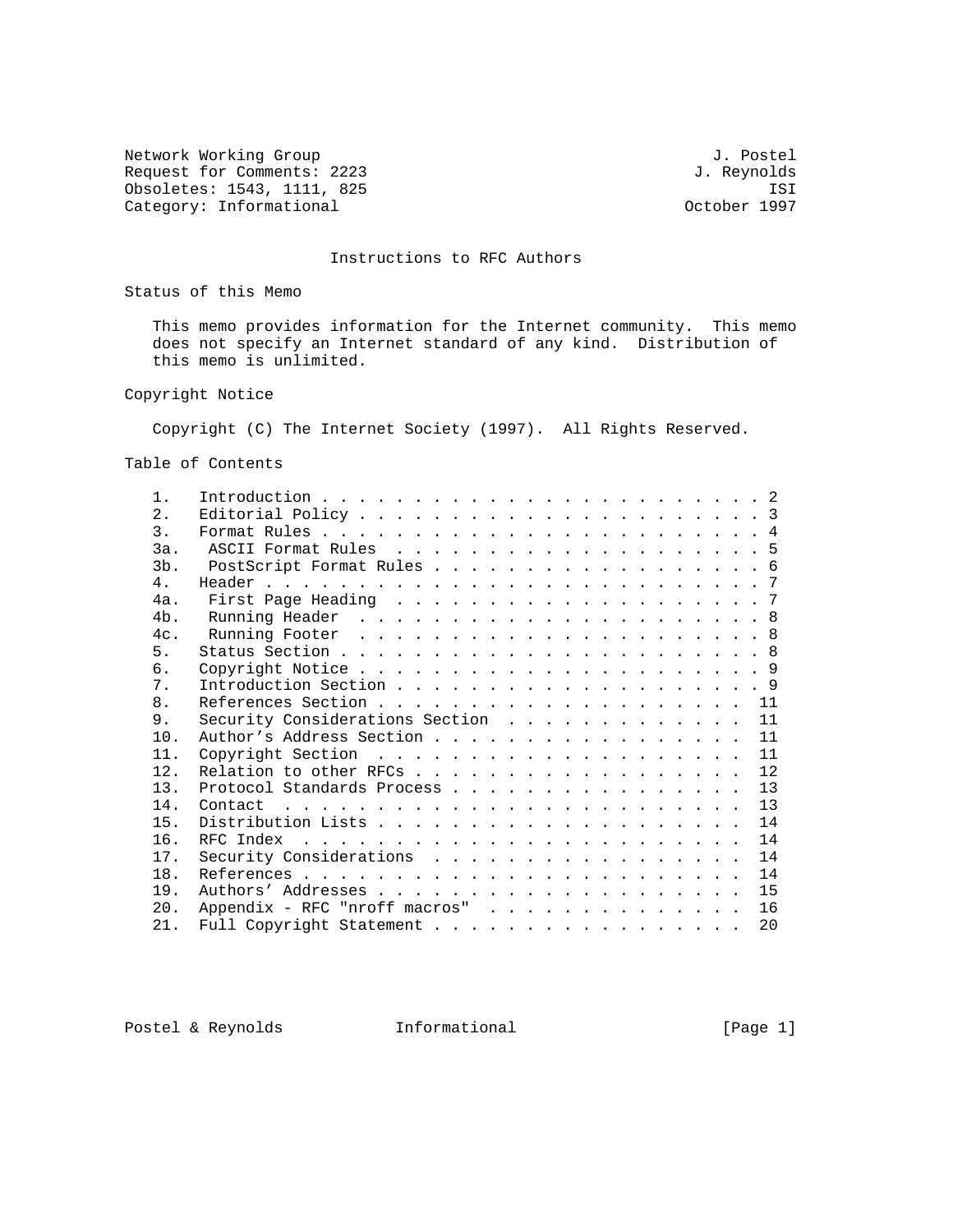Network Working Group 3. 2008 3. The Method of the Method of J. Postel Request for Comments: 2223 J. Reynolds<br>
Obsoletes: 1543, 1111, 825 J. Reynolds Obsoletes: 1543, 1111, 825 ISI<br>Category: Informational delays and the component of the Category: 1997 Category: Informational

# Instructions to RFC Authors

Status of this Memo

 This memo provides information for the Internet community. This memo does not specify an Internet standard of any kind. Distribution of this memo is unlimited.

Copyright Notice

Copyright (C) The Internet Society (1997). All Rights Reserved.

Table of Contents

| $1$ .           |                                                                          |    |
|-----------------|--------------------------------------------------------------------------|----|
| 2.1             |                                                                          |    |
| 3.              |                                                                          |    |
| 3a.             |                                                                          |    |
| 3b.             | PostScript Format Rules 6                                                |    |
| 4.              |                                                                          |    |
| 4a.             |                                                                          |    |
| $4b$ .          |                                                                          |    |
| $4c_{\odot}$    |                                                                          |    |
| 5.              |                                                                          |    |
| б.              |                                                                          |    |
| 7.              |                                                                          |    |
| 8.              |                                                                          |    |
| 9.              | Security Considerations Section                                          | 11 |
| 10 <sub>1</sub> | Author's Address Section                                                 | 11 |
| 11.             |                                                                          | 11 |
| 12.             | Relation to other RFCs                                                   | 12 |
| 13.             | Protocol Standards Process                                               | 13 |
| 14.             | Contact $\ldots \ldots \ldots \ldots \ldots \ldots \ldots \ldots \ldots$ | 13 |
| 15.             |                                                                          | 14 |
| 16.             |                                                                          | 14 |
| 17.             | Security Considerations                                                  | 14 |
| 18.             |                                                                          | 14 |
| 19.             |                                                                          | 15 |
| 20.             | Appendix - RFC "nroff macros"                                            | 16 |
| 21.             | Full Copyright Statement                                                 | 20 |
|                 |                                                                          |    |

Postel & Reynolds **Informational** [Page 1]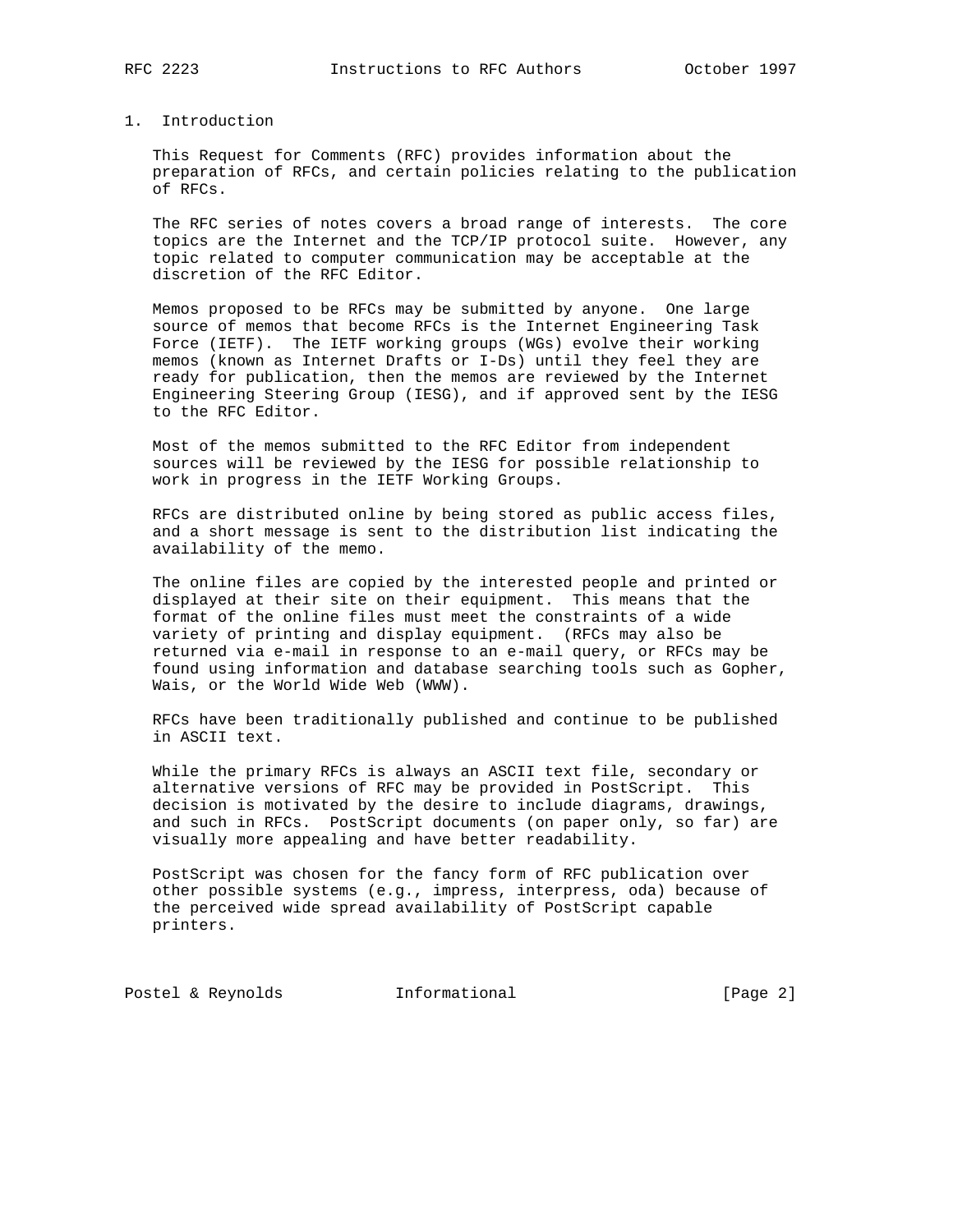# 1. Introduction

 This Request for Comments (RFC) provides information about the preparation of RFCs, and certain policies relating to the publication of RFCs.

 The RFC series of notes covers a broad range of interests. The core topics are the Internet and the TCP/IP protocol suite. However, any topic related to computer communication may be acceptable at the discretion of the RFC Editor.

 Memos proposed to be RFCs may be submitted by anyone. One large source of memos that become RFCs is the Internet Engineering Task Force (IETF). The IETF working groups (WGs) evolve their working memos (known as Internet Drafts or I-Ds) until they feel they are ready for publication, then the memos are reviewed by the Internet Engineering Steering Group (IESG), and if approved sent by the IESG to the RFC Editor.

 Most of the memos submitted to the RFC Editor from independent sources will be reviewed by the IESG for possible relationship to work in progress in the IETF Working Groups.

 RFCs are distributed online by being stored as public access files, and a short message is sent to the distribution list indicating the availability of the memo.

 The online files are copied by the interested people and printed or displayed at their site on their equipment. This means that the format of the online files must meet the constraints of a wide variety of printing and display equipment. (RFCs may also be returned via e-mail in response to an e-mail query, or RFCs may be found using information and database searching tools such as Gopher, Wais, or the World Wide Web (WWW).

 RFCs have been traditionally published and continue to be published in ASCII text.

 While the primary RFCs is always an ASCII text file, secondary or alternative versions of RFC may be provided in PostScript. This decision is motivated by the desire to include diagrams, drawings, and such in RFCs. PostScript documents (on paper only, so far) are visually more appealing and have better readability.

 PostScript was chosen for the fancy form of RFC publication over other possible systems (e.g., impress, interpress, oda) because of the perceived wide spread availability of PostScript capable printers.

Postel & Reynolds **Informational Informational** [Page 2]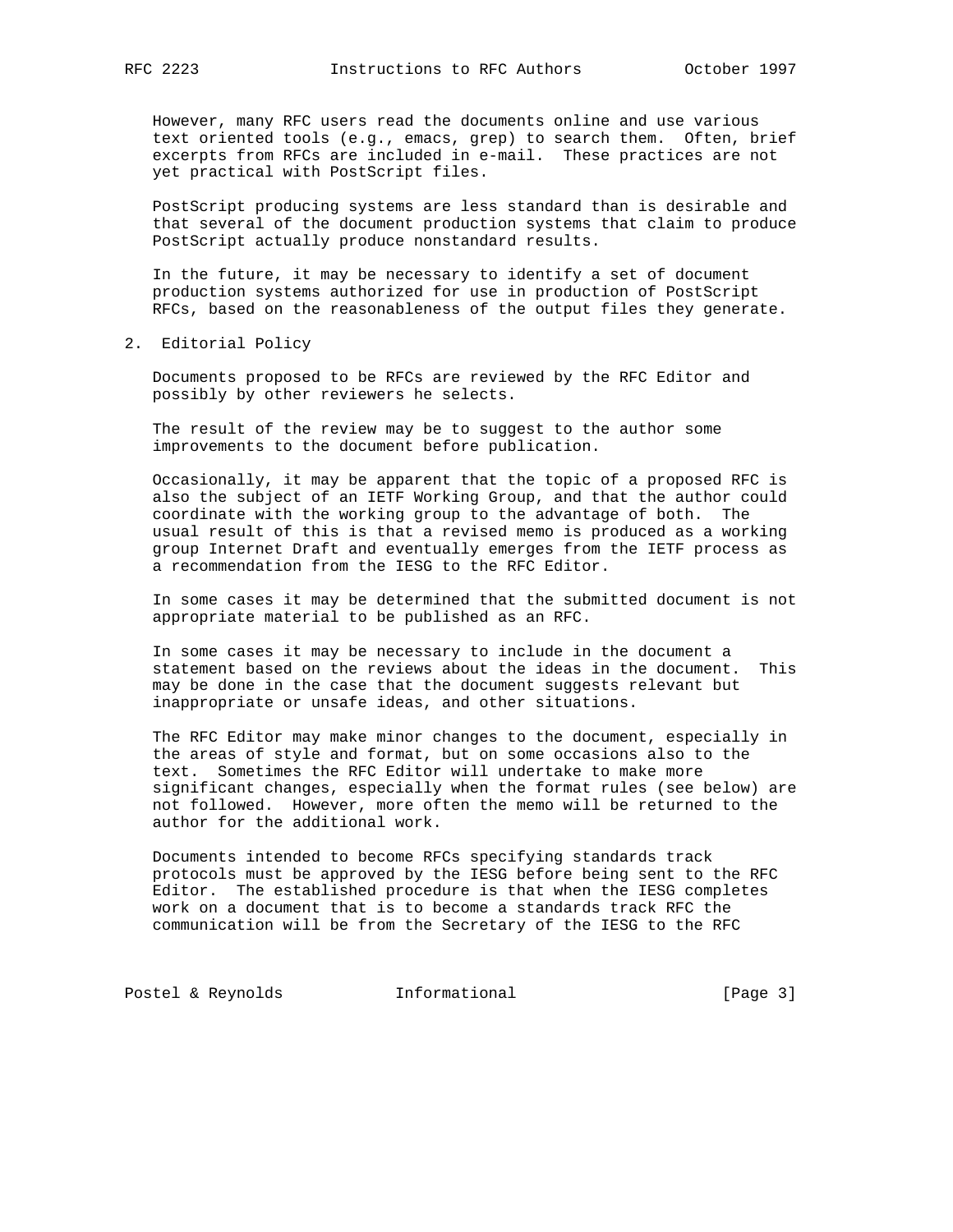However, many RFC users read the documents online and use various text oriented tools (e.g., emacs, grep) to search them. Often, brief excerpts from RFCs are included in e-mail. These practices are not yet practical with PostScript files.

 PostScript producing systems are less standard than is desirable and that several of the document production systems that claim to produce PostScript actually produce nonstandard results.

 In the future, it may be necessary to identify a set of document production systems authorized for use in production of PostScript RFCs, based on the reasonableness of the output files they generate.

2. Editorial Policy

 Documents proposed to be RFCs are reviewed by the RFC Editor and possibly by other reviewers he selects.

 The result of the review may be to suggest to the author some improvements to the document before publication.

 Occasionally, it may be apparent that the topic of a proposed RFC is also the subject of an IETF Working Group, and that the author could coordinate with the working group to the advantage of both. The usual result of this is that a revised memo is produced as a working group Internet Draft and eventually emerges from the IETF process as a recommendation from the IESG to the RFC Editor.

 In some cases it may be determined that the submitted document is not appropriate material to be published as an RFC.

 In some cases it may be necessary to include in the document a statement based on the reviews about the ideas in the document. This may be done in the case that the document suggests relevant but inappropriate or unsafe ideas, and other situations.

 The RFC Editor may make minor changes to the document, especially in the areas of style and format, but on some occasions also to the text. Sometimes the RFC Editor will undertake to make more significant changes, especially when the format rules (see below) are not followed. However, more often the memo will be returned to the author for the additional work.

 Documents intended to become RFCs specifying standards track protocols must be approved by the IESG before being sent to the RFC Editor. The established procedure is that when the IESG completes work on a document that is to become a standards track RFC the communication will be from the Secretary of the IESG to the RFC

Postel & Reynolds **Informational** [Page 3]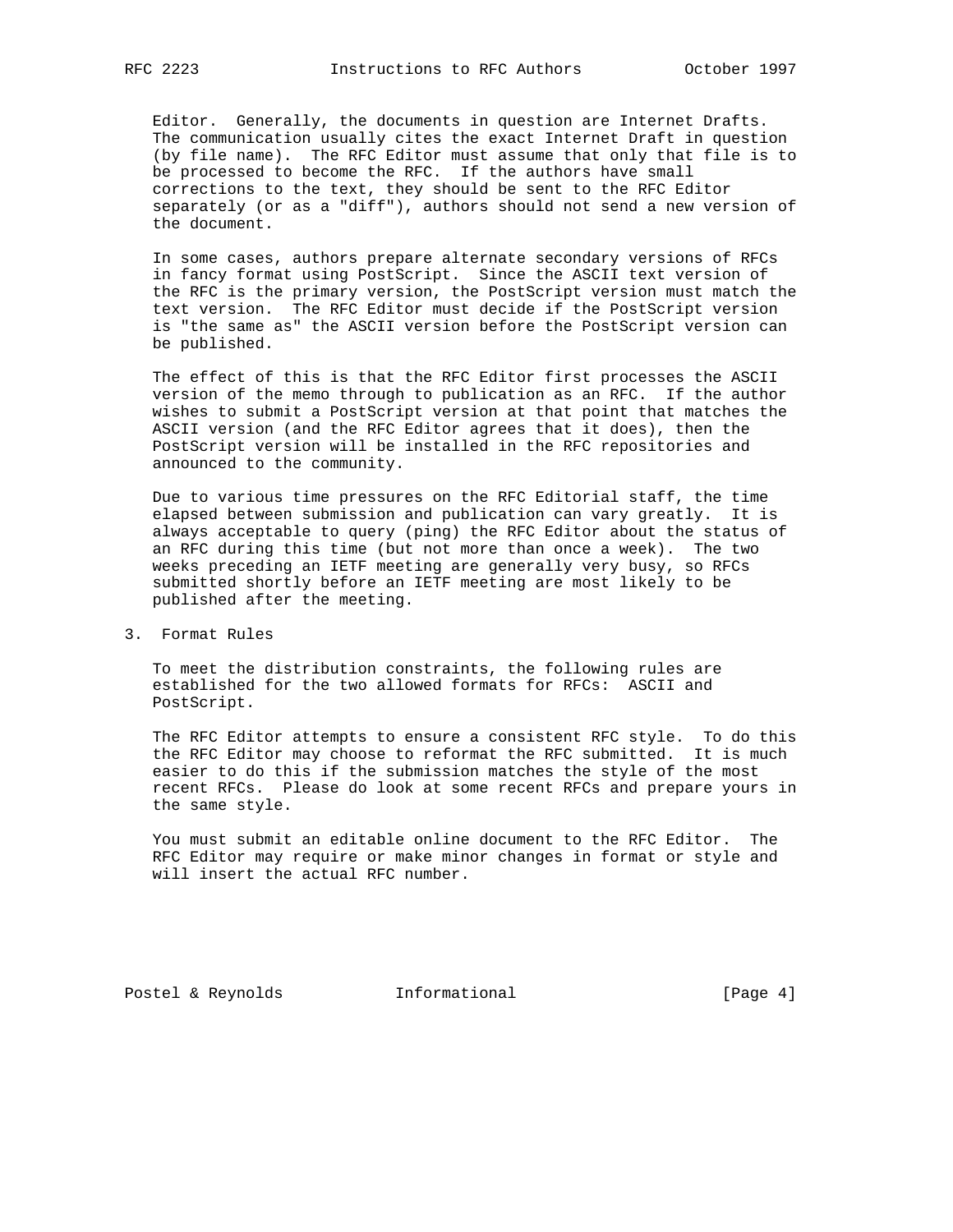Editor. Generally, the documents in question are Internet Drafts. The communication usually cites the exact Internet Draft in question (by file name). The RFC Editor must assume that only that file is to be processed to become the RFC. If the authors have small corrections to the text, they should be sent to the RFC Editor separately (or as a "diff"), authors should not send a new version of the document.

 In some cases, authors prepare alternate secondary versions of RFCs in fancy format using PostScript. Since the ASCII text version of the RFC is the primary version, the PostScript version must match the text version. The RFC Editor must decide if the PostScript version is "the same as" the ASCII version before the PostScript version can be published.

 The effect of this is that the RFC Editor first processes the ASCII version of the memo through to publication as an RFC. If the author wishes to submit a PostScript version at that point that matches the ASCII version (and the RFC Editor agrees that it does), then the PostScript version will be installed in the RFC repositories and announced to the community.

 Due to various time pressures on the RFC Editorial staff, the time elapsed between submission and publication can vary greatly. It is always acceptable to query (ping) the RFC Editor about the status of an RFC during this time (but not more than once a week). The two weeks preceding an IETF meeting are generally very busy, so RFCs submitted shortly before an IETF meeting are most likely to be published after the meeting.

# 3. Format Rules

 To meet the distribution constraints, the following rules are established for the two allowed formats for RFCs: ASCII and PostScript.

 The RFC Editor attempts to ensure a consistent RFC style. To do this the RFC Editor may choose to reformat the RFC submitted. It is much easier to do this if the submission matches the style of the most recent RFCs. Please do look at some recent RFCs and prepare yours in the same style.

 You must submit an editable online document to the RFC Editor. The RFC Editor may require or make minor changes in format or style and will insert the actual RFC number.

Postel & Reynolds **Informational** [Page 4]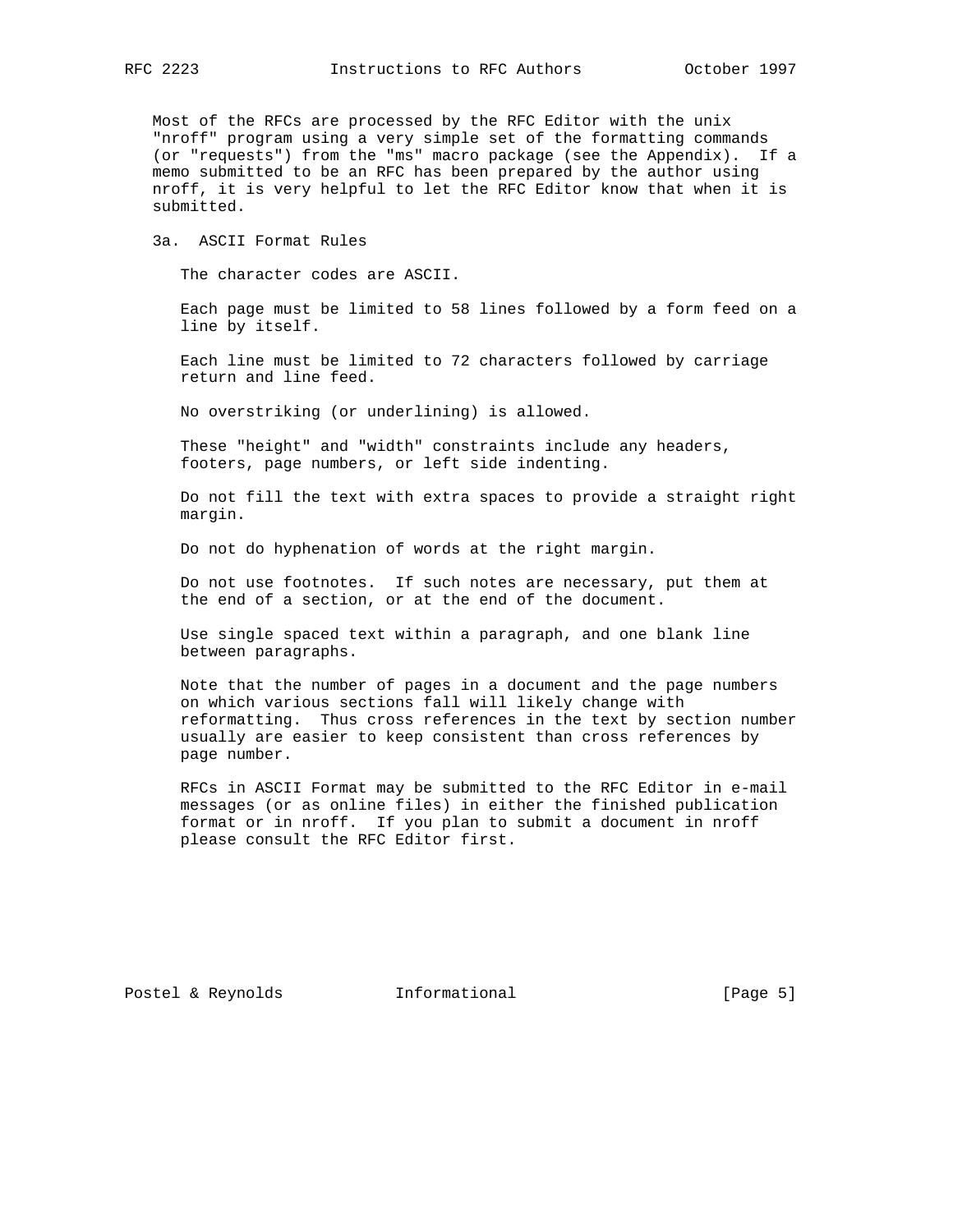Most of the RFCs are processed by the RFC Editor with the unix "nroff" program using a very simple set of the formatting commands (or "requests") from the "ms" macro package (see the Appendix). If a memo submitted to be an RFC has been prepared by the author using nroff, it is very helpful to let the RFC Editor know that when it is submitted.

3a. ASCII Format Rules

The character codes are ASCII.

 Each page must be limited to 58 lines followed by a form feed on a line by itself.

 Each line must be limited to 72 characters followed by carriage return and line feed.

No overstriking (or underlining) is allowed.

 These "height" and "width" constraints include any headers, footers, page numbers, or left side indenting.

 Do not fill the text with extra spaces to provide a straight right margin.

Do not do hyphenation of words at the right margin.

 Do not use footnotes. If such notes are necessary, put them at the end of a section, or at the end of the document.

 Use single spaced text within a paragraph, and one blank line between paragraphs.

 Note that the number of pages in a document and the page numbers on which various sections fall will likely change with reformatting. Thus cross references in the text by section number usually are easier to keep consistent than cross references by page number.

 RFCs in ASCII Format may be submitted to the RFC Editor in e-mail messages (or as online files) in either the finished publication format or in nroff. If you plan to submit a document in nroff please consult the RFC Editor first.

Postel & Reynolds **Informational** [Page 5]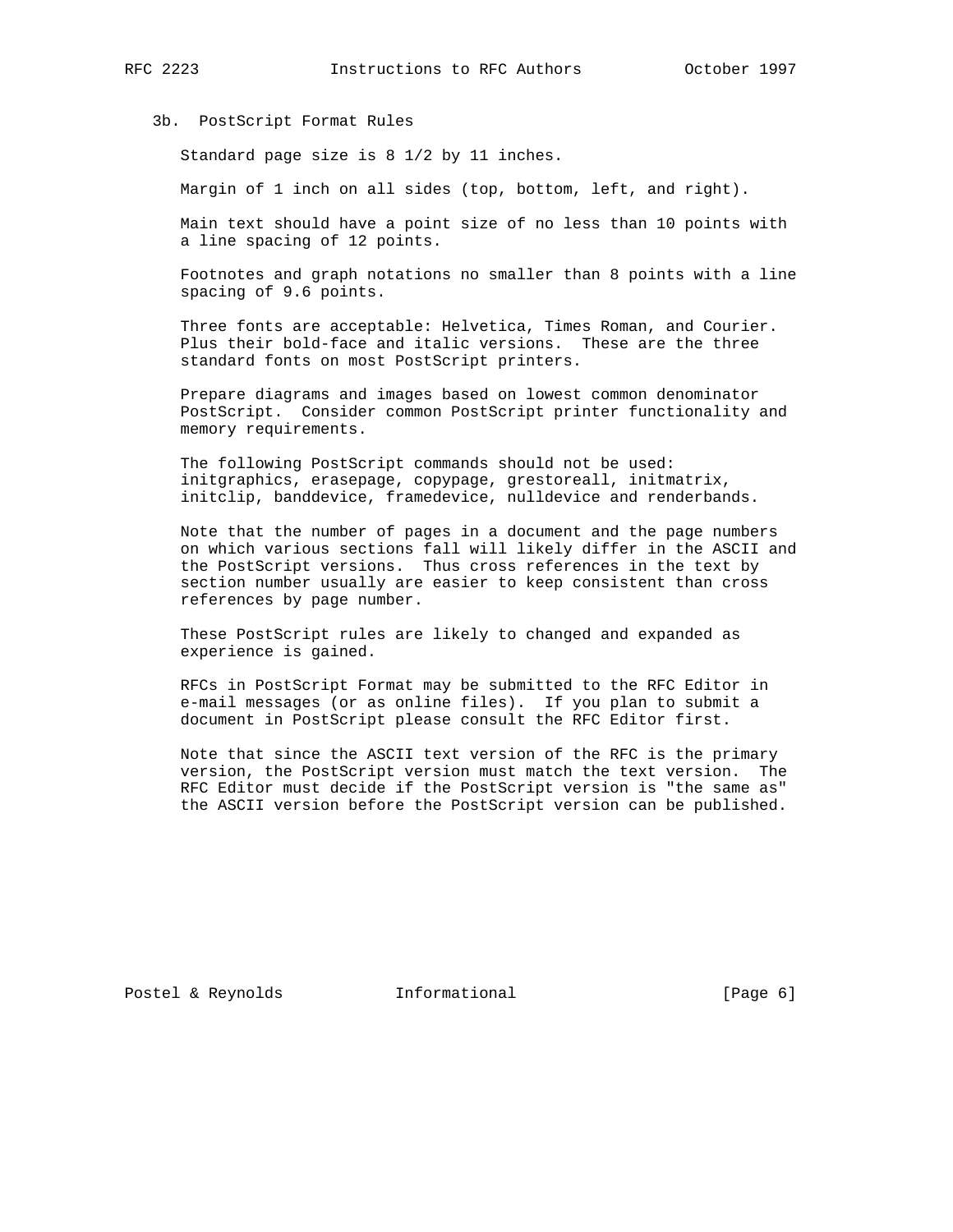### 3b. PostScript Format Rules

Standard page size is 8 1/2 by 11 inches.

Margin of 1 inch on all sides (top, bottom, left, and right).

 Main text should have a point size of no less than 10 points with a line spacing of 12 points.

 Footnotes and graph notations no smaller than 8 points with a line spacing of 9.6 points.

 Three fonts are acceptable: Helvetica, Times Roman, and Courier. Plus their bold-face and italic versions. These are the three standard fonts on most PostScript printers.

 Prepare diagrams and images based on lowest common denominator PostScript. Consider common PostScript printer functionality and memory requirements.

 The following PostScript commands should not be used: initgraphics, erasepage, copypage, grestoreall, initmatrix, initclip, banddevice, framedevice, nulldevice and renderbands.

 Note that the number of pages in a document and the page numbers on which various sections fall will likely differ in the ASCII and the PostScript versions. Thus cross references in the text by section number usually are easier to keep consistent than cross references by page number.

 These PostScript rules are likely to changed and expanded as experience is gained.

 RFCs in PostScript Format may be submitted to the RFC Editor in e-mail messages (or as online files). If you plan to submit a document in PostScript please consult the RFC Editor first.

 Note that since the ASCII text version of the RFC is the primary version, the PostScript version must match the text version. The RFC Editor must decide if the PostScript version is "the same as" the ASCII version before the PostScript version can be published.

Postel & Reynolds **Informational** [Page 6]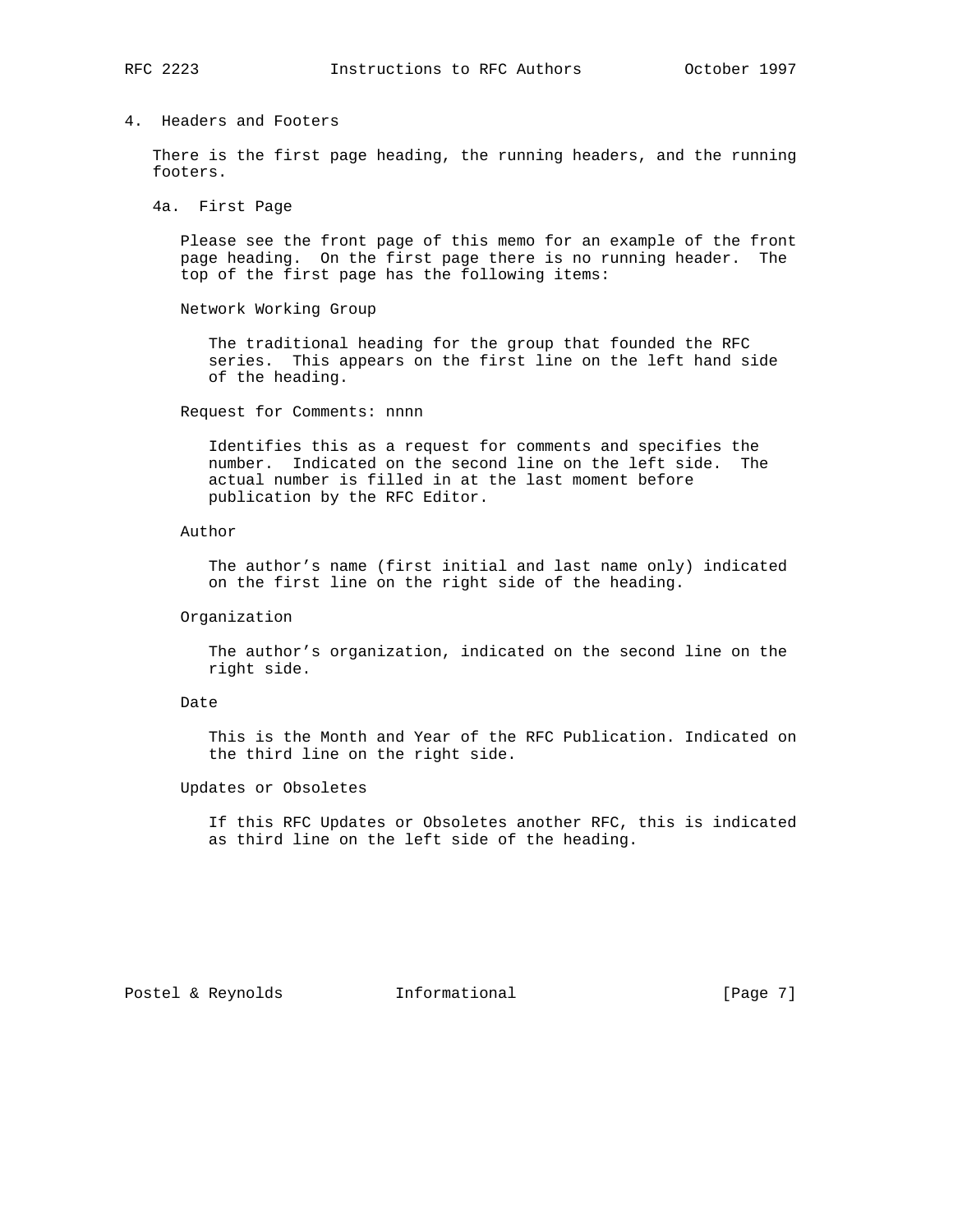# 4. Headers and Footers

 There is the first page heading, the running headers, and the running footers.

### 4a. First Page

 Please see the front page of this memo for an example of the front page heading. On the first page there is no running header. The top of the first page has the following items:

Network Working Group

 The traditional heading for the group that founded the RFC series. This appears on the first line on the left hand side of the heading.

Request for Comments: nnnn

 Identifies this as a request for comments and specifies the number. Indicated on the second line on the left side. The actual number is filled in at the last moment before publication by the RFC Editor.

#### Author

 The author's name (first initial and last name only) indicated on the first line on the right side of the heading.

#### Organization

 The author's organization, indicated on the second line on the right side.

#### Date

 This is the Month and Year of the RFC Publication. Indicated on the third line on the right side.

#### Updates or Obsoletes

 If this RFC Updates or Obsoletes another RFC, this is indicated as third line on the left side of the heading.

Postel & Reynolds **Informational** [Page 7]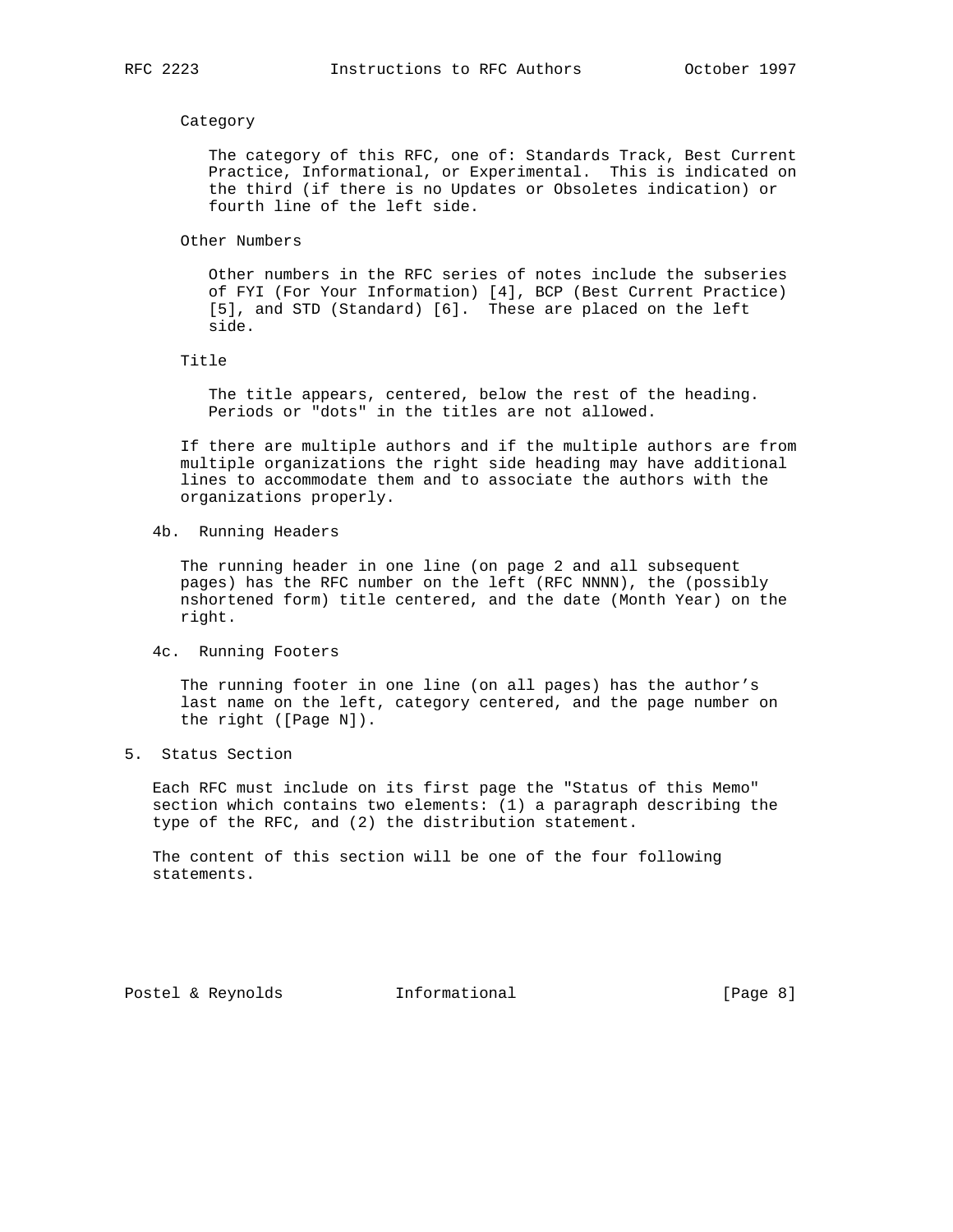#### Category

 The category of this RFC, one of: Standards Track, Best Current Practice, Informational, or Experimental. This is indicated on the third (if there is no Updates or Obsoletes indication) or fourth line of the left side.

Other Numbers

 Other numbers in the RFC series of notes include the subseries of FYI (For Your Information) [4], BCP (Best Current Practice) [5], and STD (Standard) [6]. These are placed on the left side.

Title

 The title appears, centered, below the rest of the heading. Periods or "dots" in the titles are not allowed.

 If there are multiple authors and if the multiple authors are from multiple organizations the right side heading may have additional lines to accommodate them and to associate the authors with the organizations properly.

4b. Running Headers

 The running header in one line (on page 2 and all subsequent pages) has the RFC number on the left (RFC NNNN), the (possibly nshortened form) title centered, and the date (Month Year) on the right.

4c. Running Footers

 The running footer in one line (on all pages) has the author's last name on the left, category centered, and the page number on the right ([Page N]).

5. Status Section

 Each RFC must include on its first page the "Status of this Memo" section which contains two elements: (1) a paragraph describing the type of the RFC, and (2) the distribution statement.

 The content of this section will be one of the four following statements.

Postel & Reynolds **Informational** [Page 8]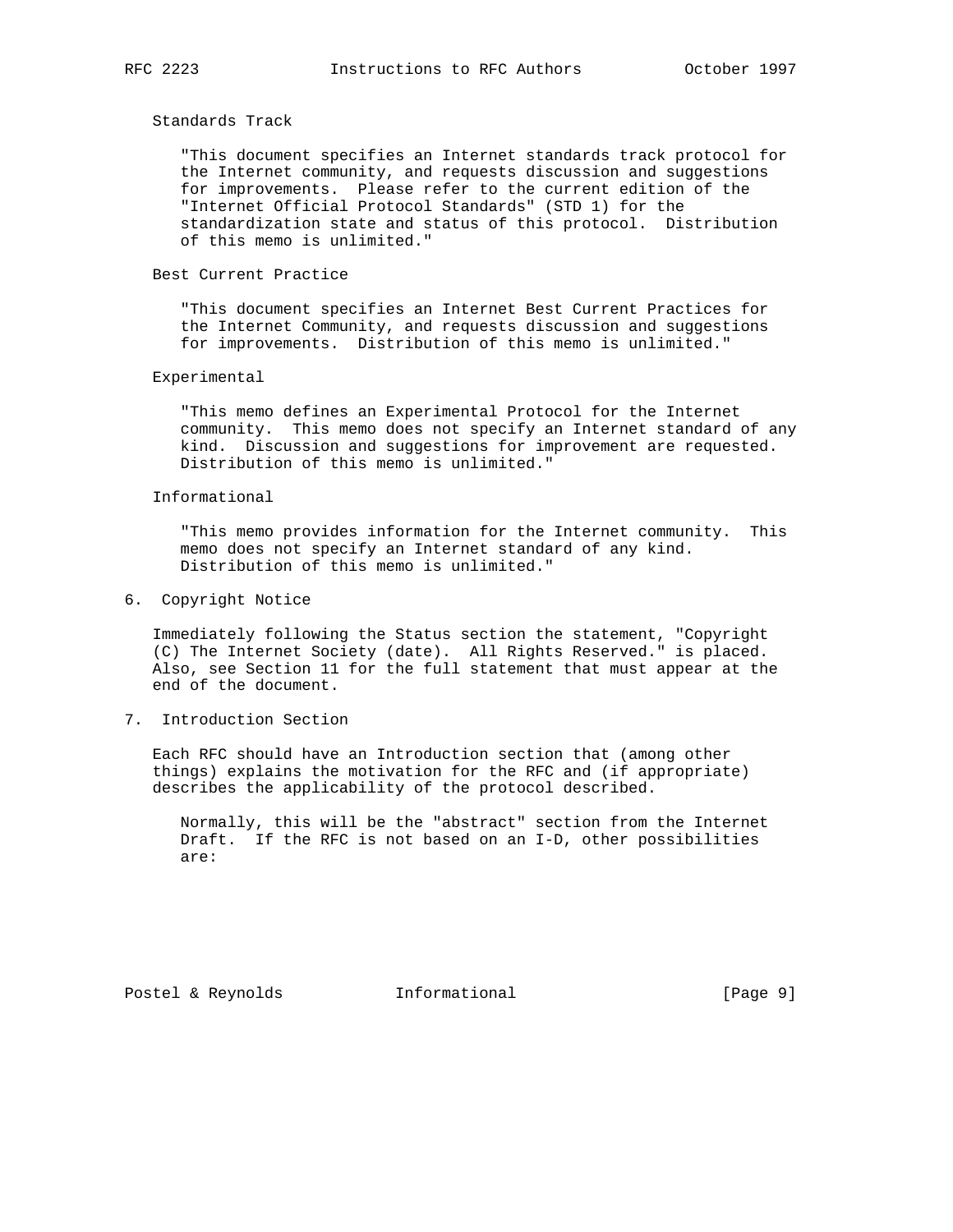### Standards Track

 "This document specifies an Internet standards track protocol for the Internet community, and requests discussion and suggestions for improvements. Please refer to the current edition of the "Internet Official Protocol Standards" (STD 1) for the standardization state and status of this protocol. Distribution of this memo is unlimited."

# Best Current Practice

 "This document specifies an Internet Best Current Practices for the Internet Community, and requests discussion and suggestions for improvements. Distribution of this memo is unlimited."

### Experimental

 "This memo defines an Experimental Protocol for the Internet community. This memo does not specify an Internet standard of any kind. Discussion and suggestions for improvement are requested. Distribution of this memo is unlimited."

### Informational

 "This memo provides information for the Internet community. This memo does not specify an Internet standard of any kind. Distribution of this memo is unlimited."

6. Copyright Notice

 Immediately following the Status section the statement, "Copyright (C) The Internet Society (date). All Rights Reserved." is placed. Also, see Section 11 for the full statement that must appear at the end of the document.

7. Introduction Section

 Each RFC should have an Introduction section that (among other things) explains the motivation for the RFC and (if appropriate) describes the applicability of the protocol described.

 Normally, this will be the "abstract" section from the Internet Draft. If the RFC is not based on an I-D, other possibilities are:

Postel & Reynolds **Informational** [Page 9]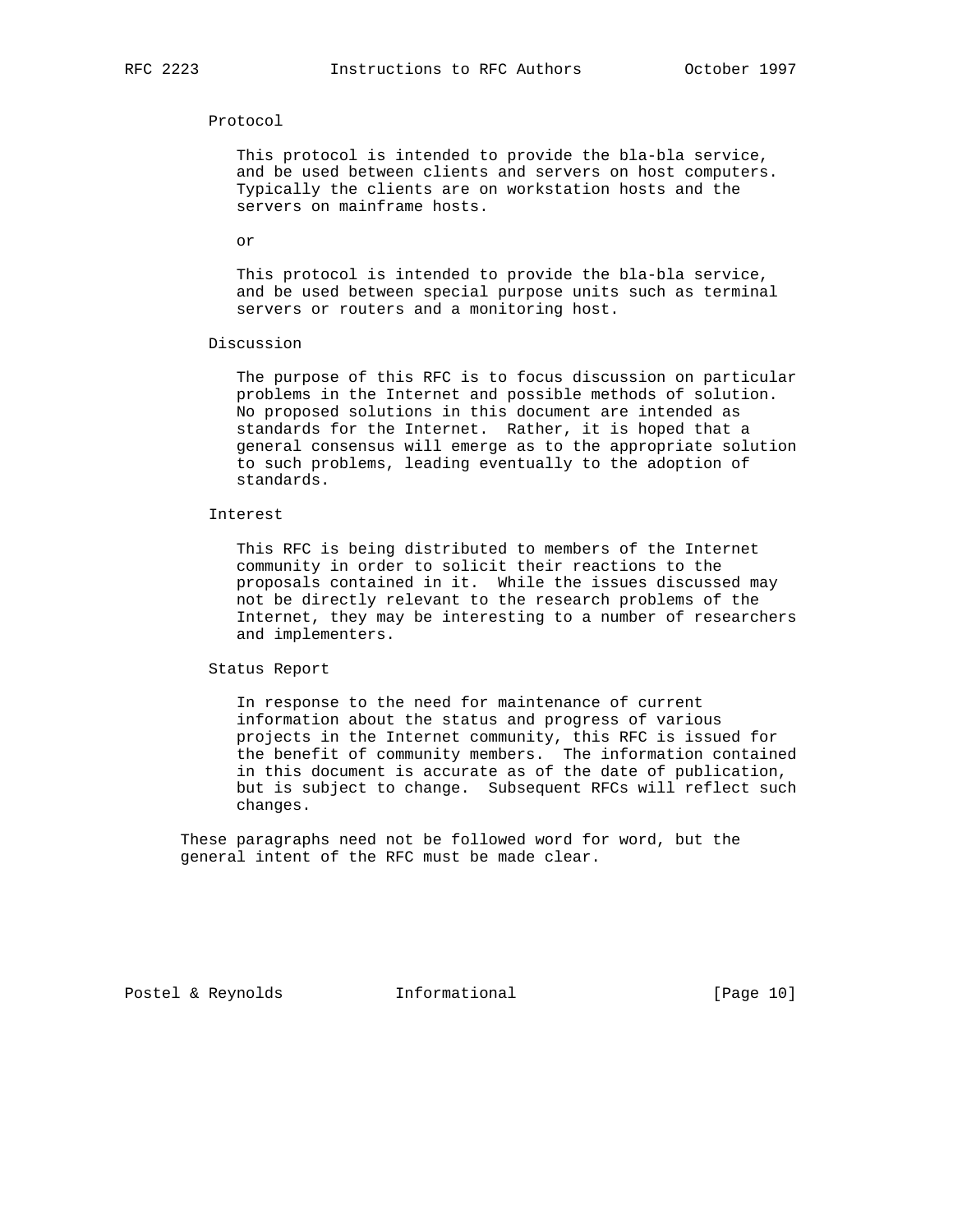#### Protocol

 This protocol is intended to provide the bla-bla service, and be used between clients and servers on host computers. Typically the clients are on workstation hosts and the servers on mainframe hosts.

or

 This protocol is intended to provide the bla-bla service, and be used between special purpose units such as terminal servers or routers and a monitoring host.

#### Discussion

 The purpose of this RFC is to focus discussion on particular problems in the Internet and possible methods of solution. No proposed solutions in this document are intended as standards for the Internet. Rather, it is hoped that a general consensus will emerge as to the appropriate solution to such problems, leading eventually to the adoption of standards.

### Interest

 This RFC is being distributed to members of the Internet community in order to solicit their reactions to the proposals contained in it. While the issues discussed may not be directly relevant to the research problems of the Internet, they may be interesting to a number of researchers and implementers.

Status Report

 In response to the need for maintenance of current information about the status and progress of various projects in the Internet community, this RFC is issued for the benefit of community members. The information contained in this document is accurate as of the date of publication, but is subject to change. Subsequent RFCs will reflect such changes.

 These paragraphs need not be followed word for word, but the general intent of the RFC must be made clear.

Postel & Reynolds **Informational** [Page 10]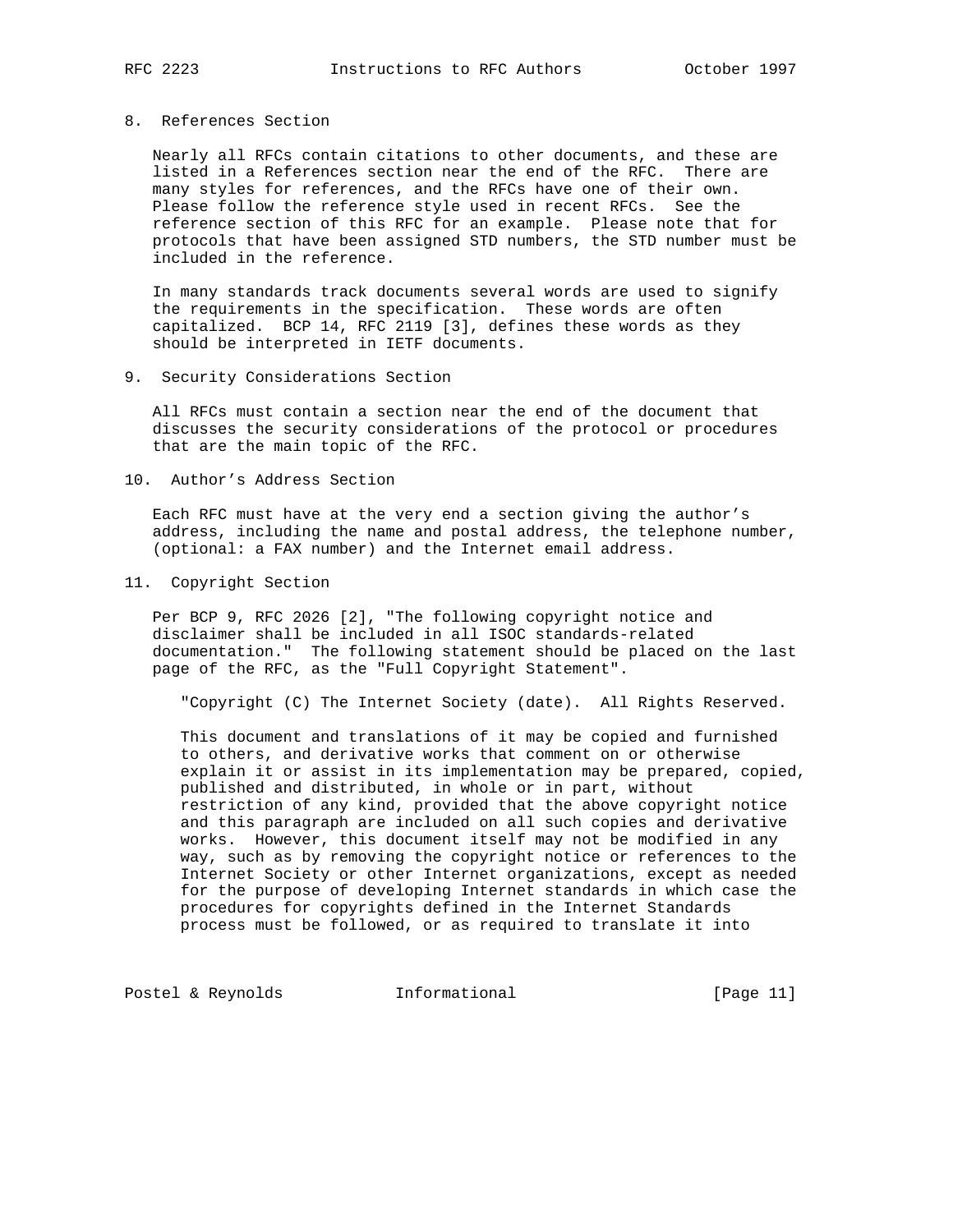## 8. References Section

 Nearly all RFCs contain citations to other documents, and these are listed in a References section near the end of the RFC. There are many styles for references, and the RFCs have one of their own. Please follow the reference style used in recent RFCs. See the reference section of this RFC for an example. Please note that for protocols that have been assigned STD numbers, the STD number must be included in the reference.

 In many standards track documents several words are used to signify the requirements in the specification. These words are often capitalized. BCP 14, RFC 2119 [3], defines these words as they should be interpreted in IETF documents.

#### 9. Security Considerations Section

 All RFCs must contain a section near the end of the document that discusses the security considerations of the protocol or procedures that are the main topic of the RFC.

10. Author's Address Section

 Each RFC must have at the very end a section giving the author's address, including the name and postal address, the telephone number, (optional: a FAX number) and the Internet email address.

11. Copyright Section

 Per BCP 9, RFC 2026 [2], "The following copyright notice and disclaimer shall be included in all ISOC standards-related documentation." The following statement should be placed on the last page of the RFC, as the "Full Copyright Statement".

"Copyright (C) The Internet Society (date). All Rights Reserved.

 This document and translations of it may be copied and furnished to others, and derivative works that comment on or otherwise explain it or assist in its implementation may be prepared, copied, published and distributed, in whole or in part, without restriction of any kind, provided that the above copyright notice and this paragraph are included on all such copies and derivative works. However, this document itself may not be modified in any way, such as by removing the copyright notice or references to the Internet Society or other Internet organizations, except as needed for the purpose of developing Internet standards in which case the procedures for copyrights defined in the Internet Standards process must be followed, or as required to translate it into

Postel & Reynolds Informational [Page 11]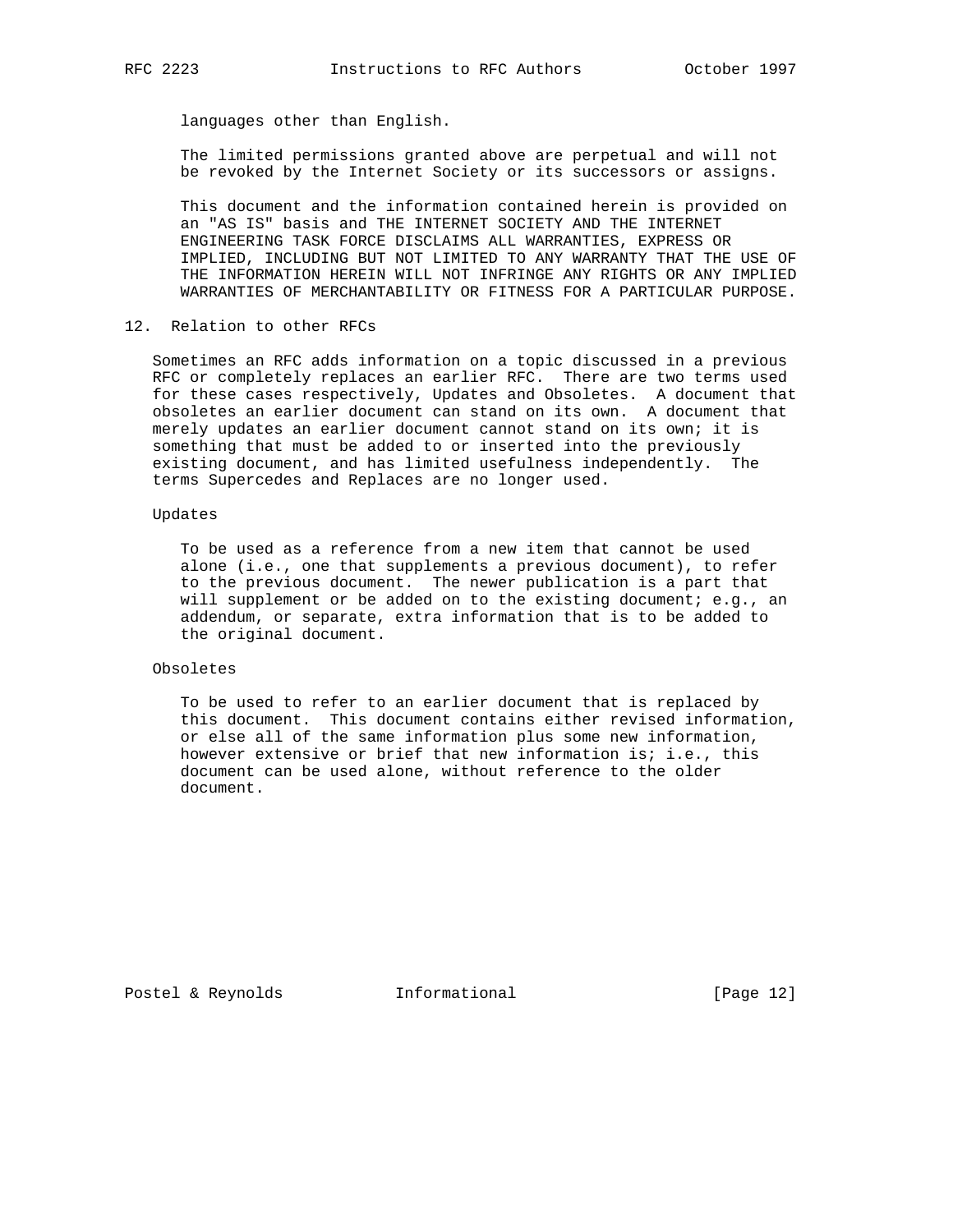languages other than English.

 The limited permissions granted above are perpetual and will not be revoked by the Internet Society or its successors or assigns.

 This document and the information contained herein is provided on an "AS IS" basis and THE INTERNET SOCIETY AND THE INTERNET ENGINEERING TASK FORCE DISCLAIMS ALL WARRANTIES, EXPRESS OR IMPLIED, INCLUDING BUT NOT LIMITED TO ANY WARRANTY THAT THE USE OF THE INFORMATION HEREIN WILL NOT INFRINGE ANY RIGHTS OR ANY IMPLIED WARRANTIES OF MERCHANTABILITY OR FITNESS FOR A PARTICULAR PURPOSE.

12. Relation to other RFCs

 Sometimes an RFC adds information on a topic discussed in a previous RFC or completely replaces an earlier RFC. There are two terms used for these cases respectively, Updates and Obsoletes. A document that obsoletes an earlier document can stand on its own. A document that merely updates an earlier document cannot stand on its own; it is something that must be added to or inserted into the previously existing document, and has limited usefulness independently. The terms Supercedes and Replaces are no longer used.

### Updates

 To be used as a reference from a new item that cannot be used alone (i.e., one that supplements a previous document), to refer to the previous document. The newer publication is a part that will supplement or be added on to the existing document; e.g., an addendum, or separate, extra information that is to be added to the original document.

### Obsoletes

 To be used to refer to an earlier document that is replaced by this document. This document contains either revised information, or else all of the same information plus some new information, however extensive or brief that new information is; i.e., this document can be used alone, without reference to the older document.

Postel & Reynolds **Informational** [Page 12]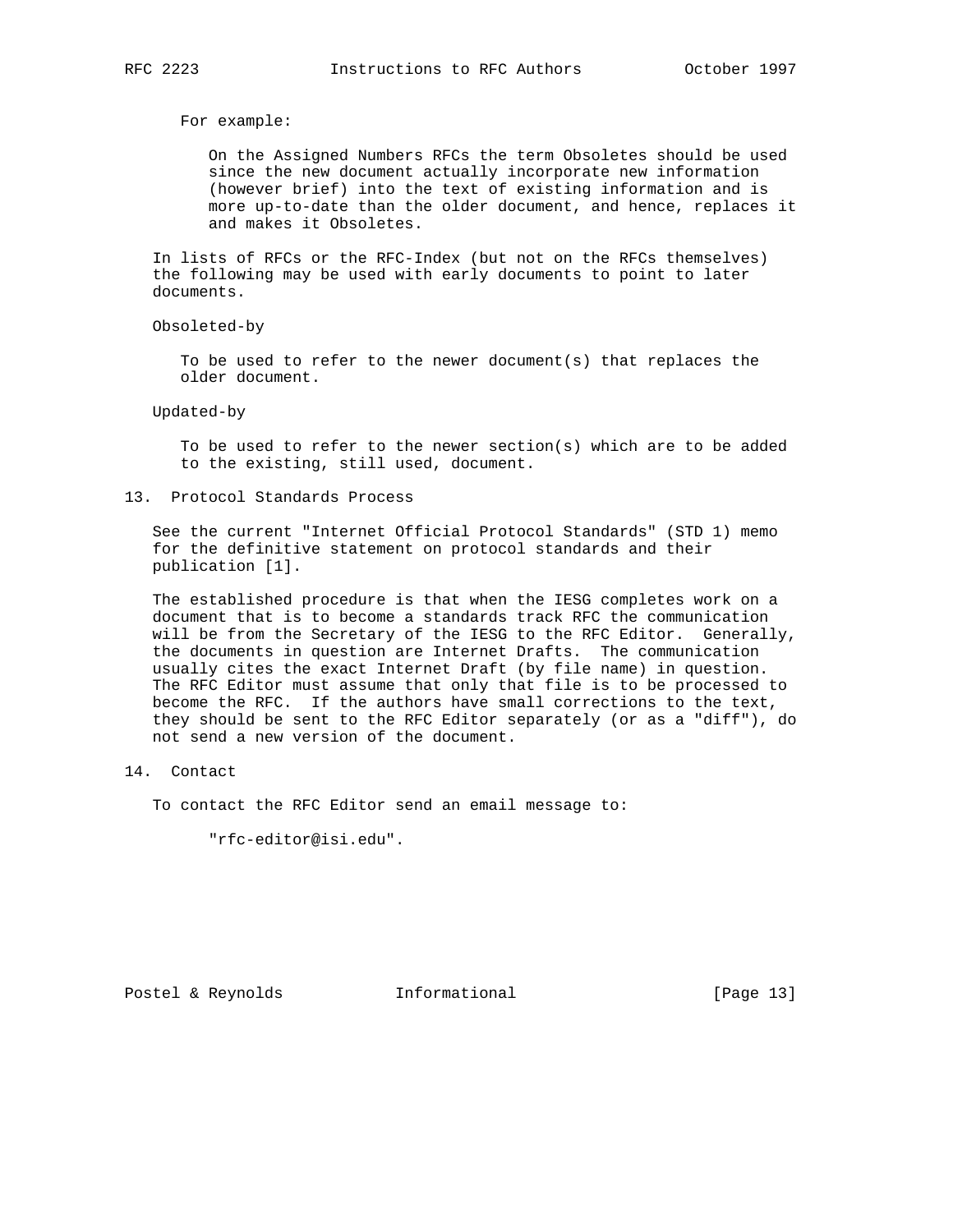For example:

 On the Assigned Numbers RFCs the term Obsoletes should be used since the new document actually incorporate new information (however brief) into the text of existing information and is more up-to-date than the older document, and hence, replaces it and makes it Obsoletes.

 In lists of RFCs or the RFC-Index (but not on the RFCs themselves) the following may be used with early documents to point to later documents.

Obsoleted-by

 To be used to refer to the newer document(s) that replaces the older document.

Updated-by

 To be used to refer to the newer section(s) which are to be added to the existing, still used, document.

13. Protocol Standards Process

 See the current "Internet Official Protocol Standards" (STD 1) memo for the definitive statement on protocol standards and their publication [1].

 The established procedure is that when the IESG completes work on a document that is to become a standards track RFC the communication will be from the Secretary of the IESG to the RFC Editor. Generally, the documents in question are Internet Drafts. The communication usually cites the exact Internet Draft (by file name) in question. The RFC Editor must assume that only that file is to be processed to become the RFC. If the authors have small corrections to the text, they should be sent to the RFC Editor separately (or as a "diff"), do not send a new version of the document.

# 14. Contact

To contact the RFC Editor send an email message to:

"rfc-editor@isi.edu".

Postel & Reynolds **Informational** [Page 13]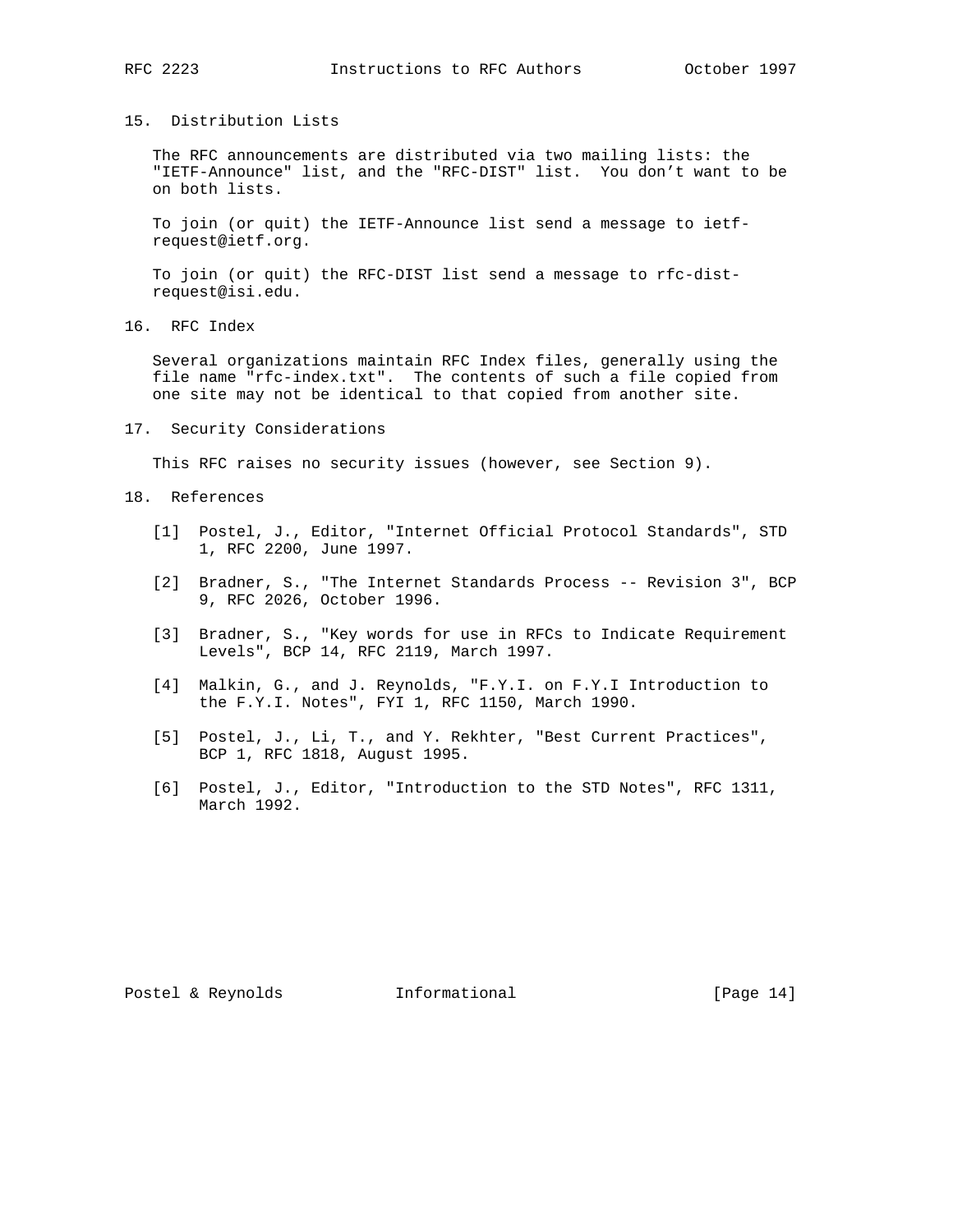15. Distribution Lists

 The RFC announcements are distributed via two mailing lists: the "IETF-Announce" list, and the "RFC-DIST" list. You don't want to be on both lists.

 To join (or quit) the IETF-Announce list send a message to ietf request@ietf.org.

 To join (or quit) the RFC-DIST list send a message to rfc-dist request@isi.edu.

16. RFC Index

 Several organizations maintain RFC Index files, generally using the file name "rfc-index.txt". The contents of such a file copied from one site may not be identical to that copied from another site.

17. Security Considerations

This RFC raises no security issues (however, see Section 9).

- 18. References
	- [1] Postel, J., Editor, "Internet Official Protocol Standards", STD 1, RFC 2200, June 1997.
	- [2] Bradner, S., "The Internet Standards Process -- Revision 3", BCP 9, RFC 2026, October 1996.
	- [3] Bradner, S., "Key words for use in RFCs to Indicate Requirement Levels", BCP 14, RFC 2119, March 1997.
	- [4] Malkin, G., and J. Reynolds, "F.Y.I. on F.Y.I Introduction to the F.Y.I. Notes", FYI 1, RFC 1150, March 1990.
	- [5] Postel, J., Li, T., and Y. Rekhter, "Best Current Practices", BCP 1, RFC 1818, August 1995.
	- [6] Postel, J., Editor, "Introduction to the STD Notes", RFC 1311, March 1992.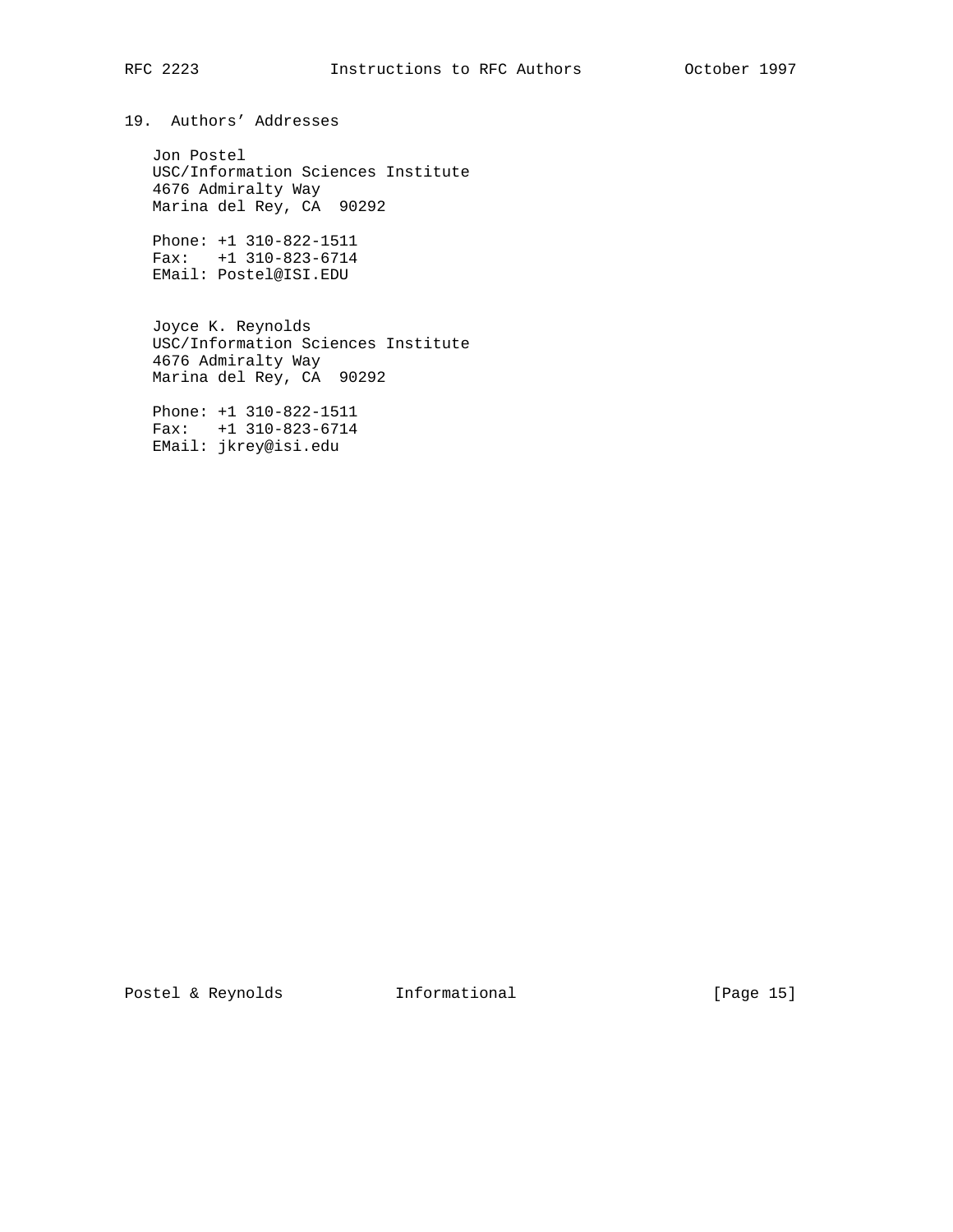# RFC 2223 **Instructions to RFC Authors** October 1997

19. Authors' Addresses

 Jon Postel USC/Information Sciences Institute 4676 Admiralty Way Marina del Rey, CA 90292

 Phone: +1 310-822-1511 Fax: +1 310-823-6714 EMail: Postel@ISI.EDU

 Joyce K. Reynolds USC/Information Sciences Institute 4676 Admiralty Way Marina del Rey, CA 90292

 Phone: +1 310-822-1511 Fax: +1 310-823-6714 EMail: jkrey@isi.edu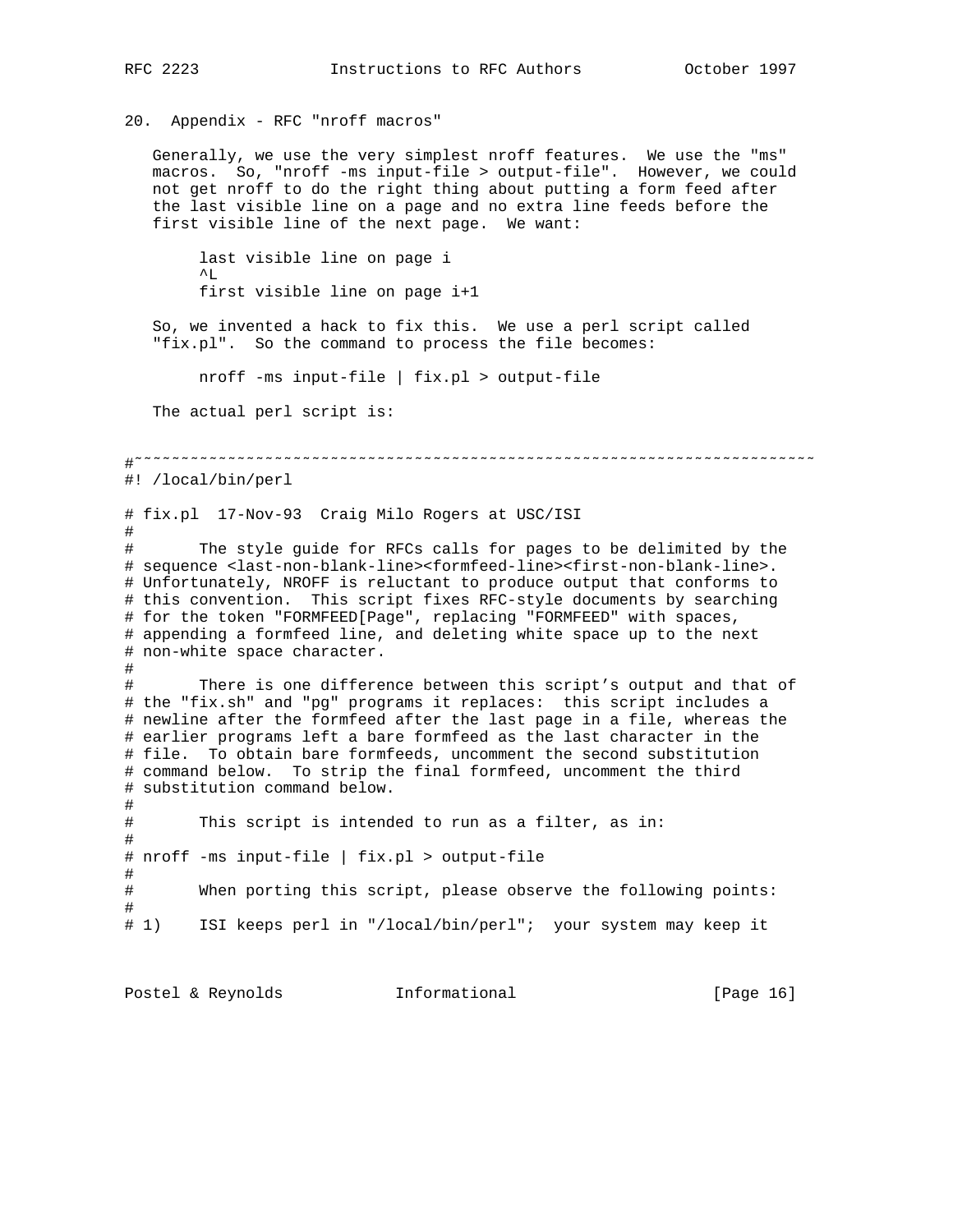20. Appendix - RFC "nroff macros" Generally, we use the very simplest nroff features. We use the "ms" macros. So, "nroff -ms input-file > output-file". However, we could not get nroff to do the right thing about putting a form feed after the last visible line on a page and no extra line feeds before the first visible line of the next page. We want: last visible line on page i  $^{\wedge}$ L first visible line on page i+1 So, we invented a hack to fix this. We use a perl script called "fix.pl". So the command to process the file becomes: nroff -ms input-file | fix.pl > output-file The actual perl script is: #˜˜˜˜˜˜˜˜˜˜˜˜˜˜˜˜˜˜˜˜˜˜˜˜˜˜˜˜˜˜˜˜˜˜˜˜˜˜˜˜˜˜˜˜˜˜˜˜˜˜˜˜˜˜˜˜˜˜˜˜˜˜˜˜˜˜˜˜˜˜˜˜˜ #! /local/bin/perl # fix.pl 17-Nov-93 Craig Milo Rogers at USC/ISI # The style guide for RFCs calls for pages to be delimited by the # sequence <last-non-blank-line><formfeed-line><first-non-blank-line>. # Unfortunately, NROFF is reluctant to produce output that conforms to # this convention. This script fixes RFC-style documents by searching # for the token "FORMFEED[Page", replacing "FORMFEED" with spaces, # appending a formfeed line, and deleting white space up to the next # non-white space character. # # There is one difference between this script's output and that of # the "fix.sh" and "pg" programs it replaces: this script includes a # newline after the formfeed after the last page in a file, whereas the # earlier programs left a bare formfeed as the last character in the # file. To obtain bare formfeeds, uncomment the second substitution # command below. To strip the final formfeed, uncomment the third # substitution command below. # # This script is intended to run as a filter, as in: # # nroff -ms input-file | fix.pl > output-file # # When porting this script, please observe the following points: # # 1) ISI keeps perl in "/local/bin/perl"; your system may keep it

Postel & Reynolds **Informational** [Page 16]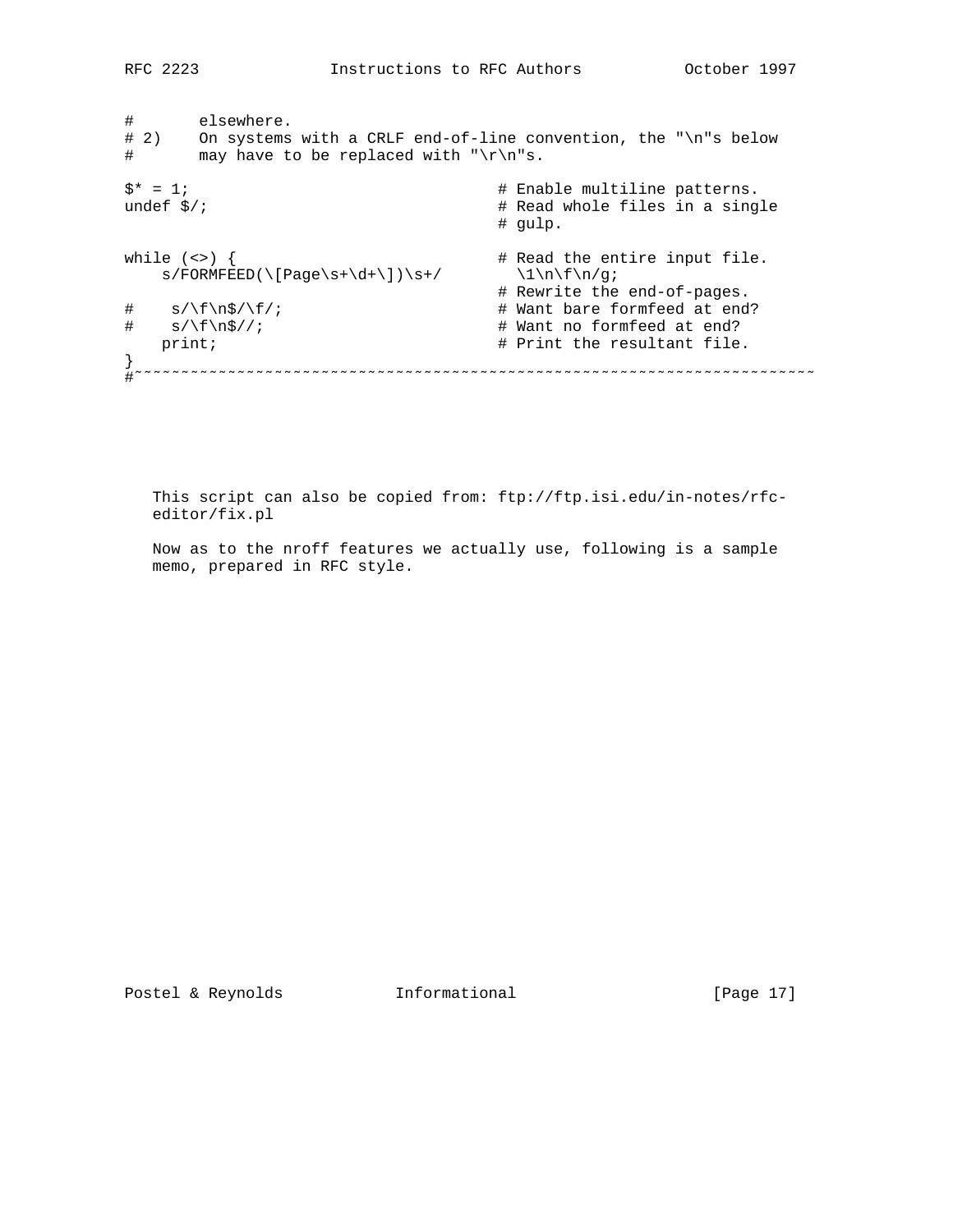# elsewhere. # 2) On systems with a CRLF end-of-line convention, the "\n"s below # may have to be replaced with "\r\n"s.  $$^* = 1;$ <br>
undef  $$^*$ ;  $$^* = 1;$ <br>
undef  $$^*$ ;  $$^* = 1;$ <br>  $$^* = 1;$ <br>  $$^* = 1;$ <br>  $$^* = 1;$ <br>  $$^* = 1;$ <br>  $$^* = 1;$ <br>  $$^* = 1;$ <br>  $$^* = 1;$ <br>  $$^* = 1;$ <br>  $$^* = 1;$ <br>  $$^* = 1;$ <br>  $$^* = 1;$ <br>  $$^* = 1;$ <br>  $$^* = 1;$ <br>  $$^* = 1;$ <br>  $$^* = 1;$ # Read whole files in a single # gulp. while (<>) { # Read the entire input file.  $s/FORMFEED(\lceil Page\s+\ddot\wedge\,s)/s+ / \qquad \qquad \lceil \dfrac{1}{n\fn/g};$  # Rewrite the end-of-pages.  $\frac{1}{4}$  s/\f\n\$/\f/;<br>  $\frac{1}{4}$  s/\f\n\$//;<br>  $\frac{1}{4}$  want no formfeed at end?  $s/\sqrt{f\sqrt{g}}/i$  # Want no formfeed at end?<br>  $\#$  Print the resultant file. # Print the resultant file. } #˜˜˜˜˜˜˜˜˜˜˜˜˜˜˜˜˜˜˜˜˜˜˜˜˜˜˜˜˜˜˜˜˜˜˜˜˜˜˜˜˜˜˜˜˜˜˜˜˜˜˜˜˜˜˜˜˜˜˜˜˜˜˜˜˜˜˜˜˜˜˜˜˜

 This script can also be copied from: ftp://ftp.isi.edu/in-notes/rfc editor/fix.pl

 Now as to the nroff features we actually use, following is a sample memo, prepared in RFC style.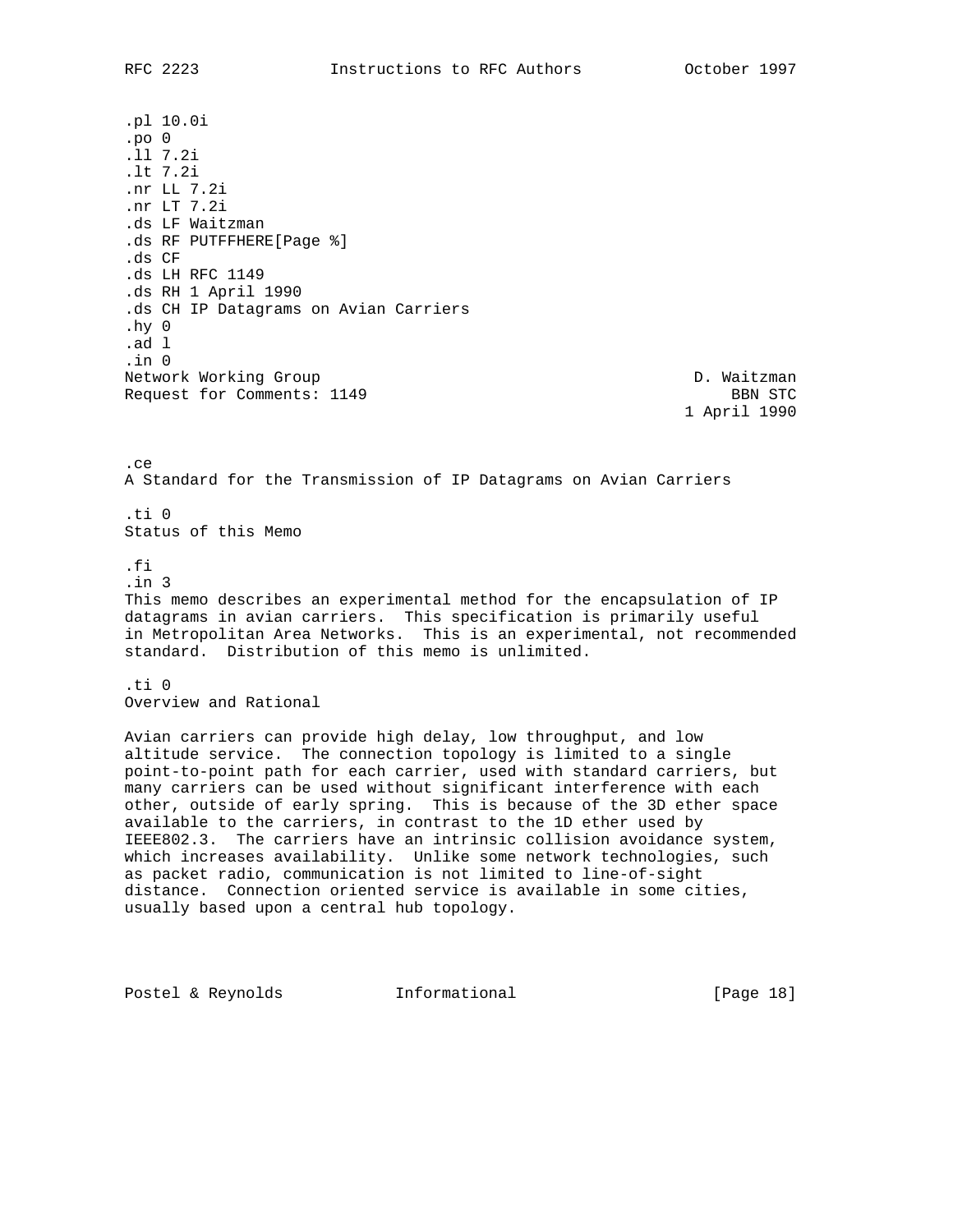.pl 10.0i .po 0 .ll 7.2i .lt 7.2i .nr LL 7.2i .nr LT 7.2i .ds LF Waitzman .ds RF PUTFFHERE[Page %] .ds CF .ds LH RFC 1149 .ds RH 1 April 1990 .ds CH IP Datagrams on Avian Carriers .hy 0 .ad l .in 0 Network Working Group and the set of the set of the D. Waitzman Request for Comments: 1149 BBN STC

1 April 1990

.ce A Standard for the Transmission of IP Datagrams on Avian Carriers

 $+ i 0$ Status of this Memo

.fi

.in 3 This memo describes an experimental method for the encapsulation of IP datagrams in avian carriers. This specification is primarily useful in Metropolitan Area Networks. This is an experimental, not recommended standard. Distribution of this memo is unlimited.

.ti 0 Overview and Rational

Avian carriers can provide high delay, low throughput, and low altitude service. The connection topology is limited to a single point-to-point path for each carrier, used with standard carriers, but many carriers can be used without significant interference with each other, outside of early spring. This is because of the 3D ether space available to the carriers, in contrast to the 1D ether used by IEEE802.3. The carriers have an intrinsic collision avoidance system, which increases availability. Unlike some network technologies, such as packet radio, communication is not limited to line-of-sight distance. Connection oriented service is available in some cities, usually based upon a central hub topology.

Postel & Reynolds **Informational** [Page 18]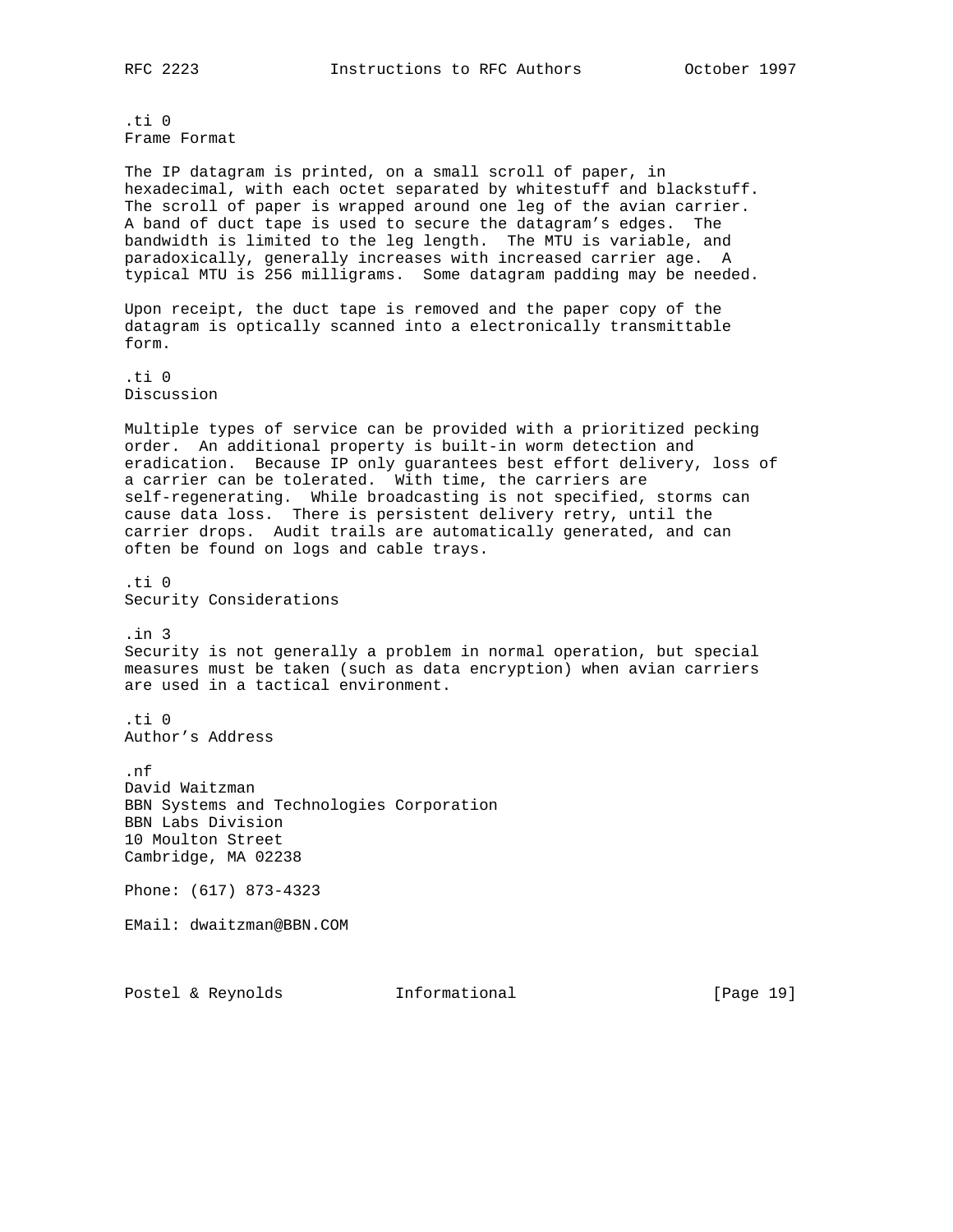.ti 0 Frame Format

The IP datagram is printed, on a small scroll of paper, in hexadecimal, with each octet separated by whitestuff and blackstuff. The scroll of paper is wrapped around one leg of the avian carrier. A band of duct tape is used to secure the datagram's edges. The bandwidth is limited to the leg length. The MTU is variable, and paradoxically, generally increases with increased carrier age. A typical MTU is 256 milligrams. Some datagram padding may be needed.

Upon receipt, the duct tape is removed and the paper copy of the datagram is optically scanned into a electronically transmittable form.

.ti 0 Discussion

Multiple types of service can be provided with a prioritized pecking order. An additional property is built-in worm detection and eradication. Because IP only guarantees best effort delivery, loss of a carrier can be tolerated. With time, the carriers are self-regenerating. While broadcasting is not specified, storms can cause data loss. There is persistent delivery retry, until the carrier drops. Audit trails are automatically generated, and can often be found on logs and cable trays.

.ti 0 Security Considerations

.in 3 Security is not generally a problem in normal operation, but special measures must be taken (such as data encryption) when avian carriers are used in a tactical environment.

.ti 0 Author's Address

.nf David Waitzman BBN Systems and Technologies Corporation BBN Labs Division 10 Moulton Street Cambridge, MA 02238

Phone: (617) 873-4323

EMail: dwaitzman@BBN.COM

Postel & Reynolds **Informational** [Page 19]